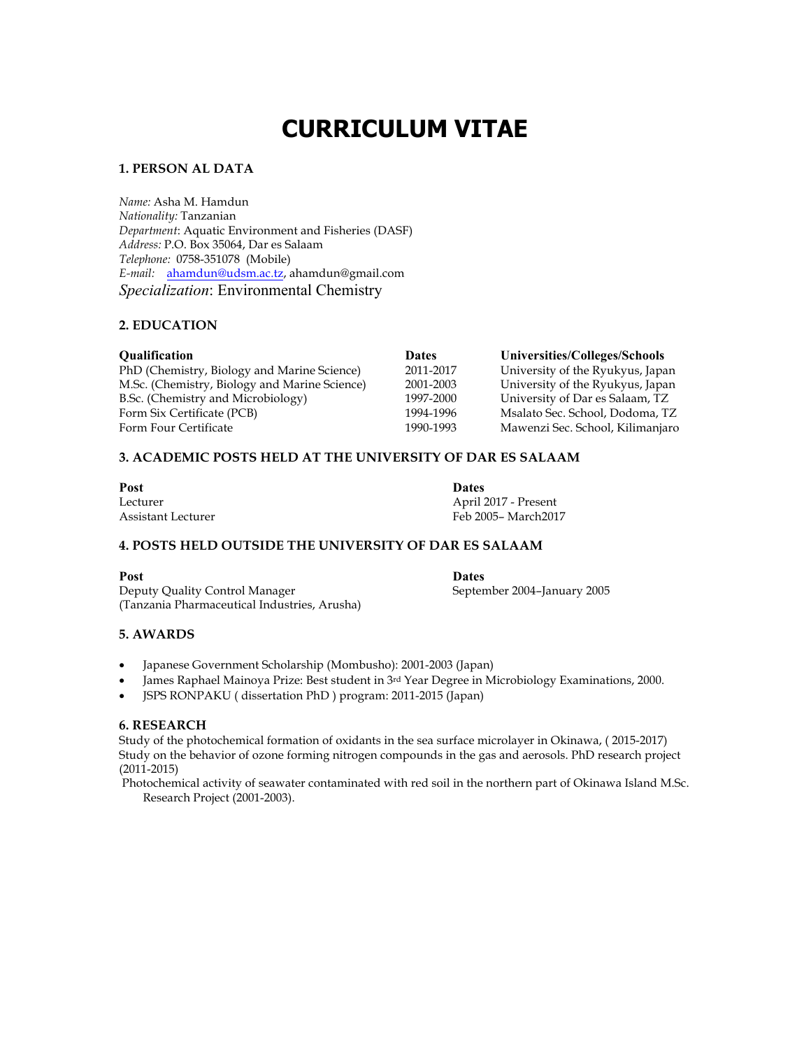# **CURRICULUM VITAE**

## **1. PERSON AL DATA**

*Name:* Asha M. Hamdun *Nationality:* Tanzanian *Department*: Aquatic Environment and Fisheries (DASF) *Address:* P.O. Box 35064, Dar es Salaam *Telephone:* 0758-351078 (Mobile) *E-mail:* ahamdun@udsm.ac.tz, ahamdun@gmail.com *Specialization*: Environmental Chemistry

## **2. EDUCATION**

| <b>Dates</b> | Universities/Colleges/Schools    |
|--------------|----------------------------------|
| 2011-2017    | University of the Ryukyus, Japan |
| 2001-2003    | University of the Ryukyus, Japan |
| 1997-2000    | University of Dar es Salaam, TZ  |
| 1994-1996    | Msalato Sec. School, Dodoma, TZ  |
| 1990-1993    | Mawenzi Sec. School, Kilimanjaro |
|              |                                  |

## **3. ACADEMIC POSTS HELD AT THE UNIVERSITY OF DAR ES SALAAM**

| Post               | <b>Dates</b>         |
|--------------------|----------------------|
| Lecturer           | April 2017 - Present |
| Assistant Lecturer | Feb 2005– March2017  |

## **4. POSTS HELD OUTSIDE THE UNIVERSITY OF DAR ES SALAAM**

**Post Dates** Deputy Quality Control Manager September 2004–January 2005 (Tanzania Pharmaceutical Industries, Arusha)

## **5. AWARDS**

- Japanese Government Scholarship (Mombusho): 2001-2003 (Japan)
- James Raphael Mainoya Prize: Best student in 3rd Year Degree in Microbiology Examinations, 2000.
- JSPS RONPAKU ( dissertation PhD ) program: 2011-2015 (Japan)

#### **6. RESEARCH**

Study of the photochemical formation of oxidants in the sea surface microlayer in Okinawa, ( 2015-2017) Study on the behavior of ozone forming nitrogen compounds in the gas and aerosols. PhD research project (2011-2015)

Photochemical activity of seawater contaminated with red soil in the northern part of Okinawa Island M.Sc. Research Project (2001-2003).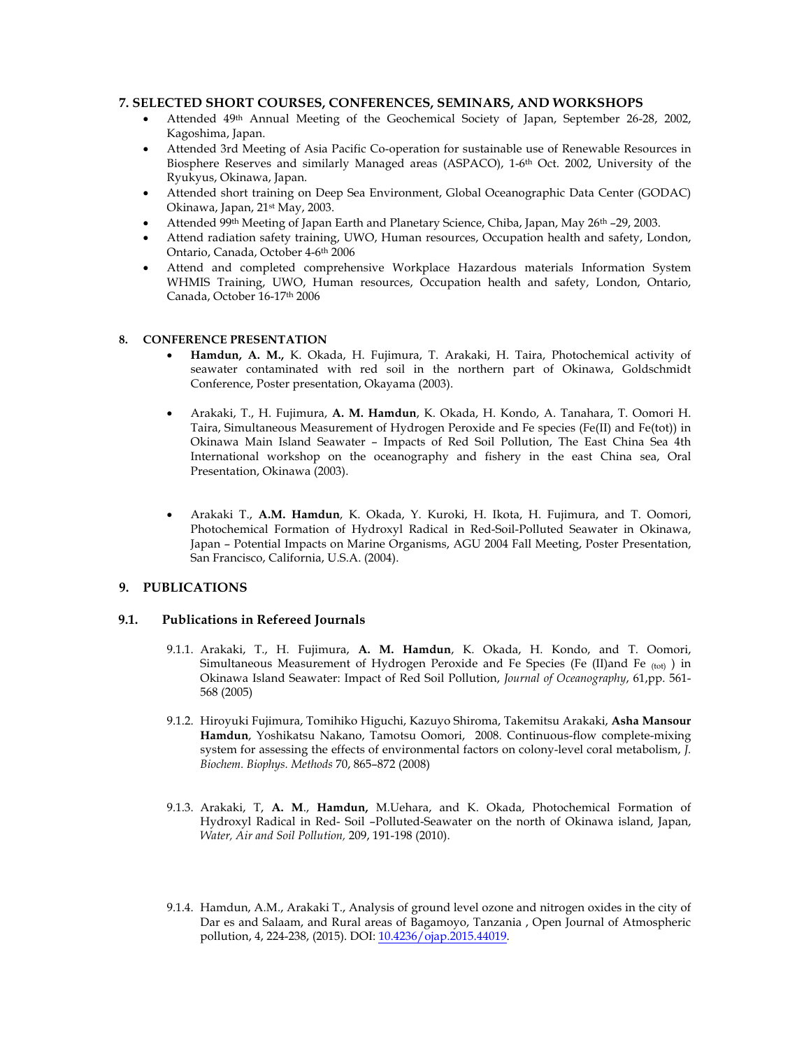### **7. SELECTED SHORT COURSES, CONFERENCES, SEMINARS, AND WORKSHOPS**

- Attended 49<sup>th</sup> Annual Meeting of the Geochemical Society of Japan, September 26-28, 2002, Kagoshima, Japan.
- Attended 3rd Meeting of Asia Pacific Co-operation for sustainable use of Renewable Resources in Biosphere Reserves and similarly Managed areas (ASPACO), 1-6th Oct. 2002, University of the Ryukyus, Okinawa, Japan.
- Attended short training on Deep Sea Environment, Global Oceanographic Data Center (GODAC) Okinawa, Japan, 21st May, 2003.
- Attended 99th Meeting of Japan Earth and Planetary Science, Chiba, Japan, May 26th –29, 2003.
- Attend radiation safety training, UWO, Human resources, Occupation health and safety, London, Ontario, Canada, October 4-6th 2006
- Attend and completed comprehensive Workplace Hazardous materials Information System WHMIS Training, UWO, Human resources, Occupation health and safety, London, Ontario, Canada, October 16-17th 2006

#### **8. CONFERENCE PRESENTATION**

- **Hamdun, A. M.,** K. Okada, H. Fujimura, T. Arakaki, H. Taira, Photochemical activity of seawater contaminated with red soil in the northern part of Okinawa, Goldschmidt Conference, Poster presentation, Okayama (2003).
- Arakaki, T., H. Fujimura, **A. M. Hamdun**, K. Okada, H. Kondo, A. Tanahara, T. Oomori H. Taira, Simultaneous Measurement of Hydrogen Peroxide and Fe species (Fe(II) and Fe(tot)) in Okinawa Main Island Seawater – Impacts of Red Soil Pollution, The East China Sea 4th International workshop on the oceanography and fishery in the east China sea, Oral Presentation, Okinawa (2003).
- Arakaki T., **A.M. Hamdun**, K. Okada, Y. Kuroki, H. Ikota, H. Fujimura, and T. Oomori, Photochemical Formation of Hydroxyl Radical in Red-Soil-Polluted Seawater in Okinawa, Japan – Potential Impacts on Marine Organisms, AGU 2004 Fall Meeting, Poster Presentation, San Francisco, California, U.S.A. (2004).

## **9. PUBLICATIONS**

### **9.1. Publications in Refereed Journals**

- 9.1.1. Arakaki, T., H. Fujimura, **A. M. Hamdun**, K. Okada, H. Kondo, and T. Oomori, Simultaneous Measurement of Hydrogen Peroxide and Fe Species (Fe (II)and Fe (tot) ) in Okinawa Island Seawater: Impact of Red Soil Pollution, *Journal of Oceanography*, 61,pp. 561- 568 (2005)
- 9.1.2. Hiroyuki Fujimura, Tomihiko Higuchi, Kazuyo Shiroma, Takemitsu Arakaki, **Asha Mansour Hamdun**, Yoshikatsu Nakano, Tamotsu Oomori, 2008. Continuous-flow complete-mixing system for assessing the effects of environmental factors on colony-level coral metabolism, *J. Biochem. Biophys. Methods* 70, 865–872 (2008)
- 9.1.3. Arakaki, T, **A. M**., **Hamdun,** M.Uehara, and K. Okada, Photochemical Formation of Hydroxyl Radical in Red- Soil –Polluted-Seawater on the north of Okinawa island, Japan, *Water, Air and Soil Pollution,* 209, 191-198 (2010).
- 9.1.4. Hamdun, A.M., Arakaki T., Analysis of ground level ozone and nitrogen oxides in the city of Dar es and Salaam, and Rural areas of Bagamoyo, Tanzania , Open Journal of Atmospheric pollution, 4, 224-238, (2015). DOI: 10.4236/ojap.2015.44019.